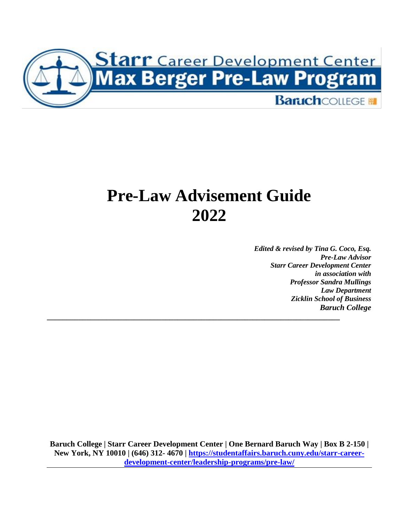

## **Pre-Law Advisement Guide 2022**

*\_\_\_\_\_\_\_\_\_\_\_\_\_\_\_\_\_\_\_\_\_\_\_\_\_\_\_\_\_\_\_\_\_\_\_\_\_\_\_\_\_\_\_\_\_\_\_\_\_\_\_\_\_\_\_\_\_\_\_\_\_\_\_\_\_\_\_\_\_\_\_\_\_\_*

*Edited & revised by Tina G. Coco, Esq. Pre-Law Advisor Starr Career Development Center in association with Professor Sandra Mullings Law Department Zicklin School of Business Baruch College*

**Baruch College | Starr Career Development Center | One Bernard Baruch Way | Box B 2-150 | New York, NY 10010 | (646) 312- 4670 | [https://studentaffairs.baruch.cuny.edu/starr-career](https://studentaffairs.baruch.cuny.edu/starr-career-development-center/leadership-programs/pre-law/)[development-center/leadership-programs/pre-law/](https://studentaffairs.baruch.cuny.edu/starr-career-development-center/leadership-programs/pre-law/)**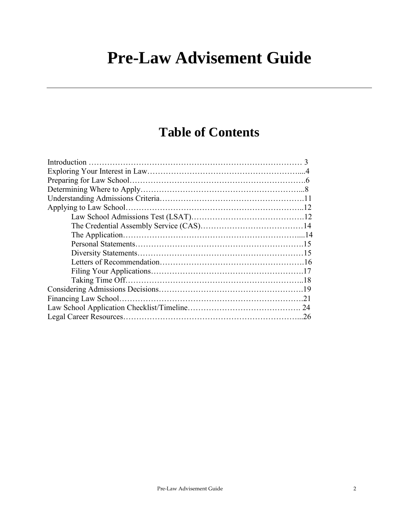## **Pre-Law Advisement Guide**

### **Table of Contents**

| .26 |
|-----|
|     |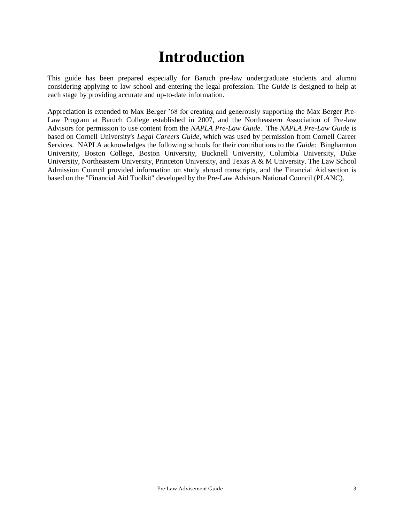## **Introduction**

This guide has been prepared especially for Baruch pre-law undergraduate students and alumni considering applying to law school and entering the legal profession. The *Guide* is designed to help at each stage by providing accurate and up-to-date information.

Appreciation is extended to Max Berger '68 for creating and generously supporting the Max Berger Pre-Law Program at Baruch College established in 2007, and the Northeastern Association of Pre-law Advisors for permission to use content from the *NAPLA Pre-Law Guide*. The *NAPLA Pre-Law Guide* is based on Cornell University's *Legal Careers Guide*, which was used by permission from Cornell Career Services. NAPLA acknowledges the following schools for their contributions to the *Guide*: Binghamton University, Boston College, Boston University, Bucknell University, Columbia University, Duke University, Northeastern University, Princeton University, and Texas A & M University. The Law School Admission Council provided information on study abroad transcripts, and the Financial Aid section is based on the "Financial Aid Toolkit" developed by the Pre-Law Advisors National Council (PLANC).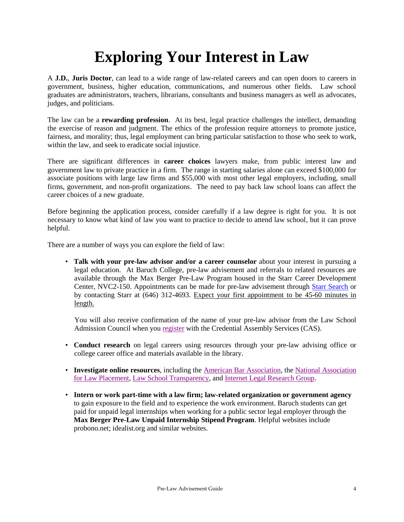## **Exploring Your Interest in Law**

A **J.D.**, **Juris Doctor**, can lead to a wide range of law-related careers and can open doors to careers in government, business, higher education, communications, and numerous other fields. Law school graduates are administrators, teachers, librarians, consultants and business managers as well as advocates, judges, and politicians.

The law can be a **rewarding profession**. At its best, legal practice challenges the intellect, demanding the exercise of reason and judgment. The ethics of the profession require attorneys to promote justice, fairness, and morality; thus, legal employment can bring particular satisfaction to those who seek to work, within the law, and seek to eradicate social injustice.

There are significant differences in **career choices** lawyers make, from public interest law and government law to private practice in a firm. The range in starting salaries alone can exceed \$100,000 for associate positions with large law firms and \$55,000 with most other legal employers, including, small firms, government, and non-profit organizations. The need to pay back law school loans can affect the career choices of a new graduate.

Before beginning the application process, consider carefully if a law degree is right for you. It is not necessary to know what kind of law you want to practice to decide to attend law school, but it can prove helpful.

There are a number of ways you can explore the field of law:

• **Talk with your pre-law advisor and/or a career counselor** about your interest in pursuing a legal education. At Baruch College, pre-law advisement and referrals to related resources are available through the Max Berger Pre-Law Program housed in the Starr Career Development Center, NVC2-150. Appointments can be made for pre-law advisement through [Starr Search](https://baruch-csm.symplicity.com/) or by contacting Starr at (646) 312-4693. Expect your first appointment to be 45-60 minutes in length.

 You will also receive confirmation of the name of your pre-law advisor from the Law School Admission Council when you [register](http://www.lsac.org/) with the Credential Assembly Services (CAS).

- **Conduct research** on legal careers using resources through your pre-law advising office or college career office and materials available in the library.
- **Investigate online resources**, including the [American Bar Association,](http://www.abanet.org/) the [National Association](http://www.nalp.org/)  for [Law Placement,](http://www.nalp.org/) [Law School Transparency,](https://www.lawschooltransparency.com/) and [Internet Legal Research Group.](http://www.ilrg.com/)
- **Intern or work part-time with a law firm; law-related organization or government agency** to gain exposure to the field and to experience the work environment. Baruch students can get paid for unpaid legal internships when working for a public sector legal employer through the **Max Berger Pre-Law Unpaid Internship Stipend Program**. Helpful websites include probono.net; idealist.org and similar websites.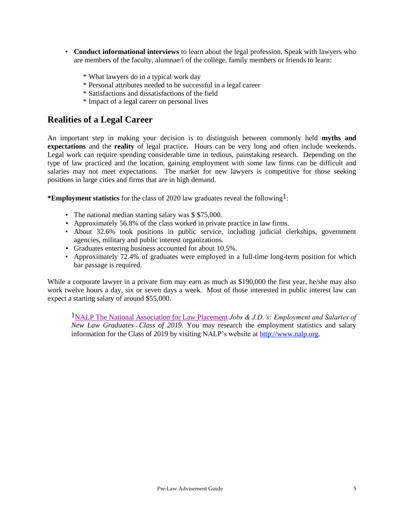- **Conduct informational interviews** to learn about the legal profession. Speak with lawyers who are members of the faculty, alumnae/i of the college, family members or friends to learn:
	- \* What lawyers do in a typical work day
	- \* Personal attributes needed to be successful in a legal career
	- \* Satisfactions and dissatisfactions of the field
	- \* Impact of a legal career on personal lives

#### **Realities of a Legal Career**

An important step in making your decision is to distinguish between commonly held **myths and expectations** and the **reality** of legal practice. Hours can be very long and often include weekends. Legal work can require spending considerable time in tedious, painstaking research. Depending on the type of law practiced and the location, gaining employment with some law firms can be difficult and salaries may not meet expectations. The market for new lawyers is competitive for those seeking positions in large cities and firms that are in high demand.

**\*Employment statistics** for the class of 2020 law graduates reveal the following1:

- The national median starting salary was \$ \$75,000.
- Approximately 56.8% of the class worked in private practice in law firms.
- About 32.6% took positions in public service, including judicial clerkships, government agencies, military and public interest organizations.
- Graduates entering business accounted for about 10.5%.
- Approximately 72.4% of graduates were employed in a full-time long-term position for which bar passage is required.

While a corporate lawyer in a private firm may earn as much as \$190,000 the first year, he/she may also work twelve hours a day, six or seven days a week. Most of those interested in public interest law can expect a starting salary of around \$55,000.

1NALP The [National Association for Law Placement](http://www.nalp.org/) *Jobs & J.D.'s: Employment and Salaries of New Law GraduatesClass of 2019.* You may research the employment statistics and salary information for the Class of 2019 by visiting NALP's website at [http://www.nalp.org.](http://www.nalp.org/)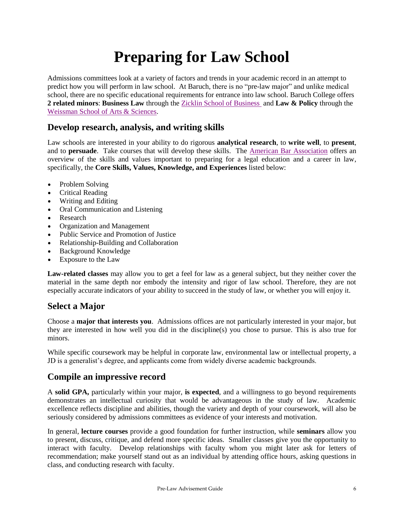## **Preparing for Law School**

Admissions committees look at a variety of factors and trends in your academic record in an attempt to predict how you will perform in law school. At Baruch, there is no "pre-law major" and unlike medical school, there are no specific educational requirements for entrance into law school. Baruch College offers **2 related minors**: **Business Law** through th[e Zicklin School of Business](https://zicklin.baruch.cuny.edu/academic-programs/undergraduate/minors/optional-minors-for-business-majors/) and **Law & Policy** through the Weissman [School of Arts & Sciences.](https://weissman.baruch.cuny.edu/weissman-academic-departments/areas-of-study/law-and-policy/)

#### **Develop research, analysis, and writing skills**

Law schools are interested in your ability to do rigorous **analytical research**, to **write well**, to **present**, and to **persuade**. Take courses that will develop these skills. The [American Bar Association](http://www.americanbar.org/) offers an overview of the skills and values important to preparing for a legal education and a career in law, specifically, the **Core Skills, Values, Knowledge, and Experiences** listed below:

- Problem Solving
- Critical Reading
- Writing and Editing
- Oral Communication and Listening
- Research
- Organization and Management
- Public Service and Promotion of Justice
- Relationship-Building and Collaboration
- Background Knowledge
- Exposure to the Law

**Law-related classes** may allow you to get a feel for law as a general subject, but they neither cover the material in the same depth nor embody the intensity and rigor of law school. Therefore, they are not especially accurate indicators of your ability to succeed in the study of law, or whether you will enjoy it.

### **Select a Major**

Choose a **major that interests you**. Admissions offices are not particularly interested in your major, but they are interested in how well you did in the discipline(s) you chose to pursue. This is also true for minors.

While specific coursework may be helpful in corporate law, environmental law or intellectual property, a JD is a generalist's degree, and applicants come from widely diverse academic backgrounds.

### **Compile an impressive record**

A **solid GPA,** particularly within your major, **is expected**, and a willingness to go beyond requirements demonstrates an intellectual curiosity that would be advantageous in the study of law. Academic excellence reflects discipline and abilities, though the variety and depth of your coursework, will also be seriously considered by admissions committees as evidence of your interests and motivation.

In general, **lecture courses** provide a good foundation for further instruction, while **seminars** allow you to present, discuss, critique, and defend more specific ideas. Smaller classes give you the opportunity to interact with faculty. Develop relationships with faculty whom you might later ask for letters of recommendation; make yourself stand out as an individual by attending office hours, asking questions in class, and conducting research with faculty.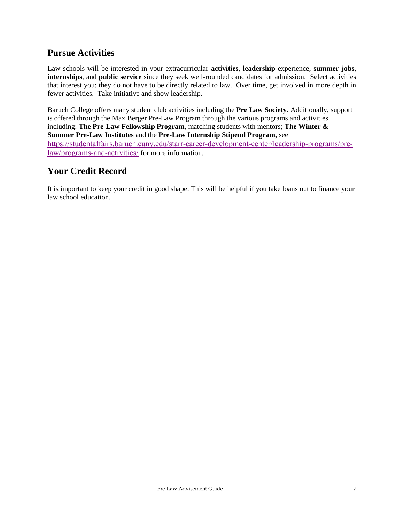#### **Pursue Activities**

Law schools will be interested in your extracurricular **activities**, **leadership** experience, **summer jobs**, **internships**, and **public service** since they seek well-rounded candidates for admission. Select activities that interest you; they do not have to be directly related to law. Over time, get involved in more depth in fewer activities. Take initiative and show leadership.

Baruch College offers many student club activities including the **Pre Law Society**. Additionally, support is offered through the Max Berger Pre-Law Program through the various programs and activities including: **The Pre-Law Fellowship Program**, matching students with mentors; **The Winter & Summer Pre-Law Institutes** and the **Pre-Law Internship Stipend Program**, see [https://studentaffairs.baruch.cuny.edu/starr-career-development-center/leadership-programs/pre](https://studentaffairs.baruch.cuny.edu/starr-career-development-center/leadership-programs/pre-law/programs-and-activities/)[law/programs-and-activities/](https://studentaffairs.baruch.cuny.edu/starr-career-development-center/leadership-programs/pre-law/programs-and-activities/) for more information.

### **Your Credit Record**

It is important to keep your credit in good shape. This will be helpful if you take loans out to finance your law school education.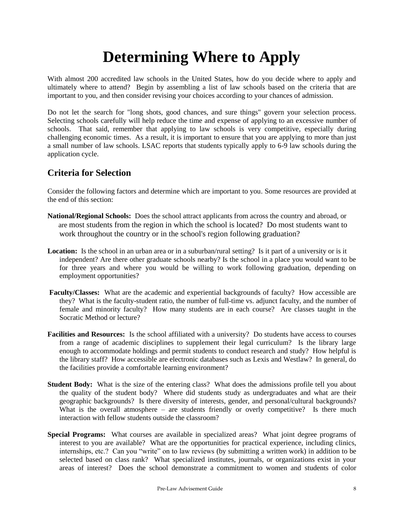## **Determining Where to Apply**

With almost 200 accredited law schools in the United States, how do you decide where to apply and ultimately where to attend? Begin by assembling a list of law schools based on the criteria that are important to you, and then consider revising your choices according to your chances of admission.

Do not let the search for "long shots, good chances, and sure things" govern your selection process. Selecting schools carefully will help reduce the time and expense of applying to an excessive number of schools. That said, remember that applying to law schools is very competitive, especially during challenging economic times. As a result, it is important to ensure that you are applying to more than just a small number of law schools. LSAC reports that students typically apply to 6-9 law schools during the application cycle.

#### **Criteria for Selection**

Consider the following factors and determine which are important to you. Some resources are provided at the end of this section:

- **National/Regional Schools:** Does the school attract applicants from across the country and abroad, or are most students from the region in which the school is located? Do most students want to work throughout the country or in the school's region following graduation?
- **Location:** Is the school in an urban area or in a suburban/rural setting? Is it part of a university or is it independent? Are there other graduate schools nearby? Is the school in a place you would want to be for three years and where you would be willing to work following graduation, depending on employment opportunities?
- **Faculty/Classes:** What are the academic and experiential backgrounds of faculty? How accessible are they? What is the faculty-student ratio, the number of full-time vs. adjunct faculty, and the number of female and minority faculty? How many students are in each course? Are classes taught in the Socratic Method or lecture?
- **Facilities and Resources:** Is the school affiliated with a university? Do students have access to courses from a range of academic disciplines to supplement their legal curriculum? Is the library large enough to accommodate holdings and permit students to conduct research and study? How helpful is the library staff? How accessible are electronic databases such as Lexis and Westlaw? In general, do the facilities provide a comfortable learning environment?
- **Student Body:** What is the size of the entering class? What does the admissions profile tell you about the quality of the student body? Where did students study as undergraduates and what are their geographic backgrounds? Is there diversity of interests, gender, and personal/cultural backgrounds? What is the overall atmosphere – are students friendly or overly competitive? Is there much interaction with fellow students outside the classroom?
- **Special Programs:** What courses are available in specialized areas? What joint degree programs of interest to you are available? What are the opportunities for practical experience, including clinics, internships, etc.? Can you "write" on to law reviews (by submitting a written work) in addition to be selected based on class rank? What specialized institutes, journals, or organizations exist in your areas of interest? Does the school demonstrate a commitment to women and students of color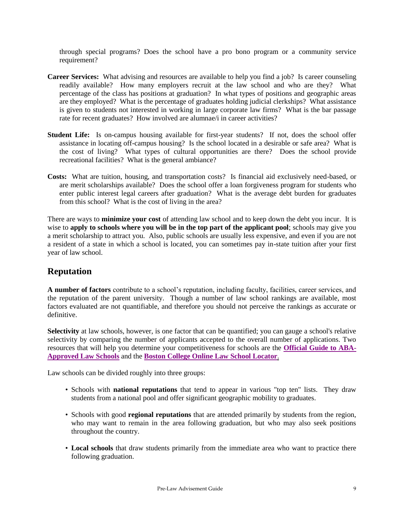through special programs? Does the school have a pro bono program or a community service requirement?

- **Career Services:** What advising and resources are available to help you find a job? Is career counseling readily available? How many employers recruit at the law school and who are they? What percentage of the class has positions at graduation? In what types of positions and geographic areas are they employed? What is the percentage of graduates holding judicial clerkships? What assistance is given to students not interested in working in large corporate law firms? What is the bar passage rate for recent graduates? How involved are alumnae/i in career activities?
- **Student Life:** Is on-campus housing available for first-year students? If not, does the school offer assistance in locating off-campus housing? Is the school located in a desirable or safe area? What is the cost of living? What types of cultural opportunities are there? Does the school provide recreational facilities? What is the general ambiance?
- **Costs:** What are tuition, housing, and transportation costs? Is financial aid exclusively need-based, or are merit scholarships available? Does the school offer a loan forgiveness program for students who enter public interest legal careers after graduation? What is the average debt burden for graduates from this school? What is the cost of living in the area?

There are ways to **minimize your cost** of attending law school and to keep down the debt you incur. It is wise to **apply to schools where you will be in the top part of the applicant pool**; schools may give you a merit scholarship to attract you. Also, public schools are usually less expensive, and even if you are not a resident of a state in which a school is located, you can sometimes pay in-state tuition after your first year of law school.

### **Reputation**

**A number of factors** contribute to a school's reputation, including faculty, facilities, career services, and the reputation of the parent university. Though a number of law school rankings are available, most factors evaluated are not quantifiable, and therefore you should not perceive the rankings as accurate or definitive.

**Selectivity** at law schools, however, is one factor that can be quantified; you can gauge a school's relative selectivity by comparing the number of applicants accepted to the overall number of applications. Two resources that will help you determine your competitiveness for schools are the **[Official Guide to ABA-](http://officialguide.lsac.org/)[Approved Law Schools](http://officialguide.lsac.org/)** and the **[Boston College Online Law School Locator](https://www.bc.edu/content/dam/files/offices/careers/pdf/Law%20School/2016%20Law%20Locator%20Final.pdf)**.

Law schools can be divided roughly into three groups:

- Schools with **national reputations** that tend to appear in various "top ten" lists. They draw students from a national pool and offer significant geographic mobility to graduates.
- Schools with good **regional reputations** that are attended primarily by students from the region, who may want to remain in the area following graduation, but who may also seek positions throughout the country.
- **Local schools** that draw students primarily from the immediate area who want to practice there following graduation.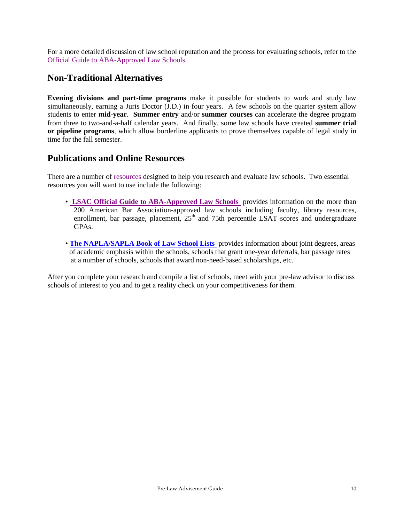For a more detailed discussion of law school reputation and the process for evaluating schools, refer to the [Official Guide to ABA-Approved Law Schools.](http://officialguide.lsac.org/)

#### **Non-Traditional Alternatives**

**Evening divisions and part-time programs** make it possible for students to work and study law simultaneously, earning a Juris Doctor (J.D.) in four years. A few schools on the quarter system allow students to enter **mid-year**. **Summer entry** and/or **summer courses** can accelerate the degree program from three to two-and-a-half calendar years. And finally, some law schools have created **summer trial or pipeline programs**, which allow borderline applicants to prove themselves capable of legal study in time for the fall semester.

#### **Publications and Online Resources**

There are a number of [resources](https://www.lsac.org/considering-law-school-free-insider-tips-resources) designed to help you research and evaluate law schools. Two essential resources you will want to use include the following:

- **[LSAC Official Guide to ABA-Approved Law Schools](https://officialguide.lsac.org/release/OfficialGuide_Default.aspx)** provides information on the more than 200 American Bar Association-approved law schools including faculty, library resources, enrollment, bar passage, placement,  $25<sup>th</sup>$  and 75th percentile LSAT scores and undergraduate GPAs.
- **[The NAPLA/SAPLA Book of Law School Lists](The%20NAPLA/SAPLA%20Book%20of%20Law%20School%20Lists)** provides information about joint degrees, areas of academic emphasis within the schools, schools that grant one-year deferrals, bar passage rates at a number of schools, schools that award non-need-based scholarships, etc.

After you complete your research and compile a list of schools, meet with your pre-law advisor to discuss schools of interest to you and to get a reality check on your competitiveness for them.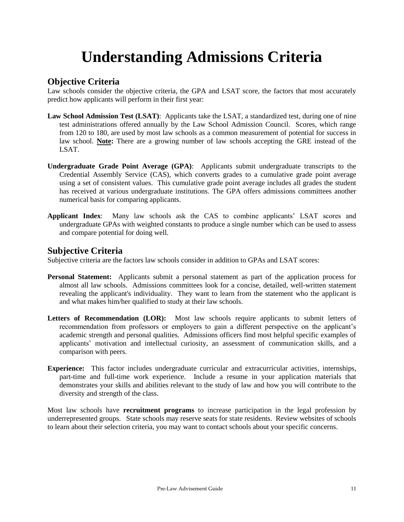## **Understanding Admissions Criteria**

#### **Objective Criteria**

Law schools consider the objective criteria, the GPA and LSAT score, the factors that most accurately predict how applicants will perform in their first year:

- **Law School Admission Test (LSAT)**: Applicants take the LSAT, a standardized test, during one of nine test administrations offered annually by the Law School Admission Council. Scores, which range from 120 to 180, are used by most law schools as a common measurement of potential for success in law school. **Note:** There are a growing number of law schools accepting the GRE instead of the LSAT.
- **Undergraduate Grade Point Average (GPA)**: Applicants submit undergraduate transcripts to the Credential Assembly Service (CAS), which converts grades to a cumulative grade point average using a set of consistent values. This cumulative grade point average includes all grades the student has received at various undergraduate institutions. The GPA offers admissions committees another numerical basis for comparing applicants.
- **Applicant Index**: Many law schools ask the CAS to combine applicants' LSAT scores and undergraduate GPAs with weighted constants to produce a single number which can be used to assess and compare potential for doing well.

#### **Subjective Criteria**

Subjective criteria are the factors law schools consider in addition to GPAs and LSAT scores:

- **Personal Statement:** Applicants submit a personal statement as part of the application process for almost all law schools. Admissions committees look for a concise, detailed, well-written statement revealing the applicant's individuality. They want to learn from the statement who the applicant is and what makes him/her qualified to study at their law schools.
- **Letters of Recommendation (LOR):** Most law schools require applicants to submit letters of recommendation from professors or employers to gain a different perspective on the applicant's academic strength and personal qualities. Admissions officers find most helpful specific examples of applicants' motivation and intellectual curiosity, an assessment of communication skills, and a comparison with peers.
- **Experience:** This factor includes undergraduate curricular and extracurricular activities, internships, part-time and full-time work experience. Include a resume in your application materials that demonstrates your skills and abilities relevant to the study of law and how you will contribute to the diversity and strength of the class.

Most law schools have **recruitment programs** to increase participation in the legal profession by underrepresented groups. State schools may reserve seats for state residents. Review websites of schools to learn about their selection criteria, you may want to contact schools about your specific concerns.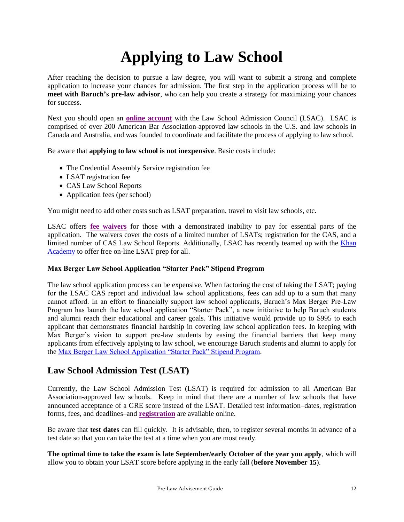# **Applying to Law School**

After reaching the decision to pursue a law degree, you will want to submit a strong and complete application to increase your chances for admission. The first step in the application process will be to **meet with Baruch's pre-law advisor**, who can help you create a strategy for maximizing your chances for success.

Next you should open an **[online account](https://os.lsac.org/Release/Logon/Access.aspx)** with the Law School Admission Council (LSAC). LSAC is comprised of over 200 American Bar Association-approved law schools in the U.S. and law schools in Canada and Australia, and was founded to coordinate and facilitate the process of applying to law school.

Be aware that **applying to law school is not inexpensive**. Basic costs include:

- The Credential Assembly Service registration fee
- LSAT registration fee
- CAS Law School Reports
- Application fees (per school)

You might need to add other costs such as LSAT preparation, travel to visit law schools, etc.

LSAC offers **[fee waivers](http://www.lsac.org/jd/lsat/fee-waivers)** for those with a demonstrated inability to pay for essential parts of the application. The waivers cover the costs of a limited number of LSATs; registration for the CAS, and a limited number of CAS Law School Reports. Additionally, LSAC has recently teamed up with the [Khan](https://www.khanacademy.org/prep/lsat)  [Academy](https://www.khanacademy.org/prep/lsat) to offer free on-line LSAT prep for all.

#### **Max Berger Law School Application "Starter Pack" Stipend Program**

The law school application process can be expensive. When factoring the cost of taking the LSAT; paying for the LSAC CAS report and individual law school applications, fees can add up to a sum that many cannot afford. In an effort to financially support law school applicants, Baruch's Max Berger Pre-Law Program has launch the law school application "Starter Pack", a new initiative to help Baruch students and alumni reach their educational and career goals. This initiative would provide up to \$995 to each applicant that demonstrates financial hardship in covering law school application fees. In keeping with Max Berger's vision to support pre-law students by easing the financial barriers that keep many applicants from effectively applying to law school, we encourage Baruch students and alumni to apply for the [Max Berger Law School Application "Starter Pack" Stipend Program.](https://baruch.az1.qualtrics.com/jfe/form/SV_b7qrhRJSYFoV2TA)

#### **Law School Admission Test (LSAT)**

Currently, the Law School Admission Test (LSAT) is required for admission to all American Bar Association-approved law schools. Keep in mind that there are a number of law schools that have announced acceptance of a GRE score instead of the LSAT. Detailed test information–dates, registration forms, fees, and deadlines–and **[registration](http://www.lsac.org/jd/lsat/about-the-lsat/)** are available online.

Be aware that **test dates** can fill quickly. It is advisable, then, to register several months in advance of a test date so that you can take the test at a time when you are most ready.

**The optimal time to take the exam is late September/early October of the year you apply**, which will allow you to obtain your LSAT score before applying in the early fall (**before November 15**).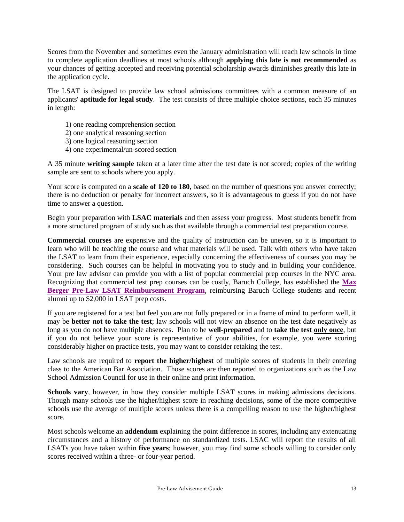Scores from the November and sometimes even the January administration will reach law schools in time to complete application deadlines at most schools although **applying this late is not recommended** as your chances of getting accepted and receiving potential scholarship awards diminishes greatly this late in the application cycle.

The LSAT is designed to provide law school admissions committees with a common measure of an applicants' **aptitude for legal study**. The test consists of three multiple choice sections, each 35 minutes in length:

- 1) one reading comprehension section
- 2) one analytical reasoning section
- 3) one logical reasoning section
- 4) one experimental/un-scored section

A 35 minute **writing sample** taken at a later time after the test date is not scored; copies of the writing sample are sent to schools where you apply.

Your score is computed on a **scale of 120 to 180**, based on the number of questions you answer correctly; there is no deduction or penalty for incorrect answers, so it is advantageous to guess if you do not have time to answer a question.

Begin your preparation with **LSAC materials** and then assess your progress. Most students benefit from a more structured program of study such as that available through a commercial test preparation course.

**Commercial courses** are expensive and the quality of instruction can be uneven, so it is important to learn who will be teaching the course and what materials will be used. Talk with others who have taken the LSAT to learn from their experience, especially concerning the effectiveness of courses you may be considering. Such courses can be helpful in motivating you to study and in building your confidence. Your pre law advisor can provide you with a list of popular commercial prep courses in the NYC area. Recognizing that commercial test prep courses can be costly, Baruch College, has established the **[Max](https://studentaffairs.baruch.cuny.edu/starr-career-development-center/leadership-programs/pre-law/programs-and-activities/)  [Berger Pre-Law LSAT Reimbursement Program](https://studentaffairs.baruch.cuny.edu/starr-career-development-center/leadership-programs/pre-law/programs-and-activities/)**, reimbursing Baruch College students and recent alumni up to \$2,000 in LSAT prep costs.

If you are registered for a test but feel you are not fully prepared or in a frame of mind to perform well, it may be **better not to take the test**; law schools will not view an absence on the test date negatively as long as you do not have multiple absences. Plan to be **well-prepared** and to **take the test only once**, but if you do not believe your score is representative of your abilities, for example, you were scoring considerably higher on practice tests, you may want to consider retaking the test.

Law schools are required to **report the higher/highest** of multiple scores of students in their entering class to the American Bar Association. Those scores are then reported to organizations such as the Law School Admission Council for use in their online and print information.

**Schools vary**, however, in how they consider multiple LSAT scores in making admissions decisions. Though many schools use the higher/highest score in reaching decisions, some of the more competitive schools use the average of multiple scores unless there is a compelling reason to use the higher/highest score.

Most schools welcome an **addendum** explaining the point difference in scores, including any extenuating circumstances and a history of performance on standardized tests. LSAC will report the results of all LSATs you have taken within **five years**; however, you may find some schools willing to consider only scores received within a three- or four-year period.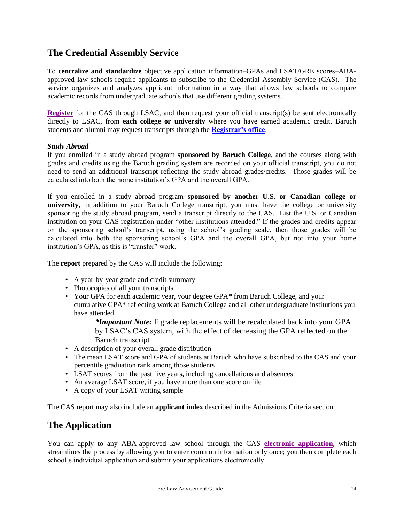#### **The Credential Assembly Service**

To **centralize and standardize** objective application information–GPAs and LSAT/GRE scores–ABAapproved law schools require applicants to subscribe to the Credential Assembly Service (CAS). The service organizes and analyzes applicant information in a way that allows law schools to compare academic records from undergraduate schools that use different grading systems.

**[Register](http://www.lsac.org/jd/applying-to-law-school/cas)** for the CAS through LSAC, and then request your official transcript(s) be sent electronically directly to LSAC, from **each college or university** where you have earned academic credit. Baruch students and alumni may request transcripts through the **[Registrar's office](https://www.baruch.cuny.edu/registrar/transcript.html)**.

#### *Study Abroad*

If you enrolled in a study abroad program **sponsored by Baruch College**, and the courses along with grades and credits using the Baruch grading system are recorded on your official transcript, you do not need to send an additional transcript reflecting the study abroad grades/credits. Those grades will be calculated into both the home institution's GPA and the overall GPA.

If you enrolled in a study abroad program **sponsored by another U.S. or Canadian college or university**, in addition to your Baruch College transcript, you must have the college or university sponsoring the study abroad program, send a transcript directly to the CAS. List the U.S. or Canadian institution on your CAS registration under "other institutions attended." If the grades and credits appear on the sponsoring school's transcript, using the school's grading scale, then those grades will be calculated into both the sponsoring school's GPA and the overall GPA, but not into your home institution's GPA, as this is "transfer" work.

The **report** prepared by the CAS will include the following:

- A year-by-year grade and credit summary
- Photocopies of all your transcripts
- Your GPA for each academic year, your degree GPA\* from Baruch College, and your cumulative GPA\* reflecting work at Baruch College and all other undergraduate institutions you have attended

*\*Important Note:* F grade replacements will be recalculated back into your GPA by LSAC's CAS system, with the effect of decreasing the GPA reflected on the Baruch transcript

- A description of your overall grade distribution
- The mean LSAT score and GPA of students at Baruch who have subscribed to the CAS and your percentile graduation rank among those students
- LSAT scores from the past five years, including cancellations and absences
- An average LSAT score, if you have more than one score on file
- A copy of your LSAT writing sample

The CAS report may also include an **applicant index** described in the Admissions Criteria section.

#### **The Application**

You can apply to any ABA-approved law school through the CAS **[electronic application](https://www.lsac.org/applying-law-school/jd-application-process/credential-assembly-service-cas)**, which streamlines the process by allowing you to enter common information only once; you then complete each school's individual application and submit your applications electronically.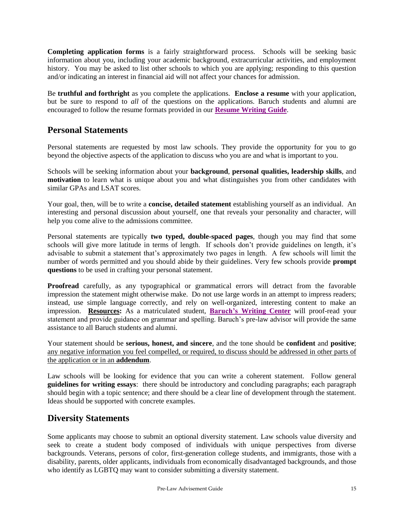**Completing application forms** is a fairly straightforward process. Schools will be seeking basic information about you, including your academic background, extracurricular activities, and employment history. You may be asked to list other schools to which you are applying; responding to this question and/or indicating an interest in financial aid will not affect your chances for admission.

Be **truthful and forthright** as you complete the applications. **Enclose a resume** with your application, but be sure to respond to *all* of the questions on the applications. Baruch students and alumni are encouraged to follow the resume formats provided in our **[Resume Writing Guide](https://studentaffairs.baruch.cuny.edu/wp-content/uploads/sites/6/2020/04/Resume-and-Cover-Letter-Guide.pdf)**.

#### **Personal Statements**

Personal statements are requested by most law schools. They provide the opportunity for you to go beyond the objective aspects of the application to discuss who you are and what is important to you.

Schools will be seeking information about your **background**, **personal qualities, leadership skills**, and **motivation** to learn what is unique about you and what distinguishes you from other candidates with similar GPAs and LSAT scores.

Your goal, then, will be to write a **concise, detailed statement** establishing yourself as an individual. An interesting and personal discussion about yourself, one that reveals your personality and character, will help you come alive to the admissions committee.

Personal statements are typically **two typed, double-spaced pages**, though you may find that some schools will give more latitude in terms of length. If schools don't provide guidelines on length, it's advisable to submit a statement that's approximately two pages in length. A few schools will limit the number of words permitted and you should abide by their guidelines. Very few schools provide **prompt questions** to be used in crafting your personal statement.

**Proofread** carefully, as any typographical or grammatical errors will detract from the favorable impression the statement might otherwise make. Do not use large words in an attempt to impress readers; instead, use simple language correctly, and rely on well-organized, interesting content to make an impression. **Resources:** As a matriculated student, **[Baruch's Writing Center](https://bc.mywconline.com/)** will proof-read your statement and provide guidance on grammar and spelling. Baruch's pre-law advisor will provide the same assistance to all Baruch students and alumni.

Your statement should be **serious, honest, and sincere**, and the tone should be **confident** and **positive**; any negative information you feel compelled, or required, to discuss should be addressed in other parts of the application or in an **addendum**.

Law schools will be looking for evidence that you can write a coherent statement. Follow general **guidelines for writing essays**: there should be introductory and concluding paragraphs; each paragraph should begin with a topic sentence; and there should be a clear line of development through the statement. Ideas should be supported with concrete examples.

### **Diversity Statements**

Some applicants may choose to submit an optional diversity statement. Law schools value diversity and seek to create a student body composed of individuals with unique perspectives from diverse backgrounds. Veterans, persons of color, first-generation college students, and immigrants, those with a disability, parents, older applicants, individuals from economically disadvantaged backgrounds, and those who identify as LGBTQ may want to consider submitting a diversity statement.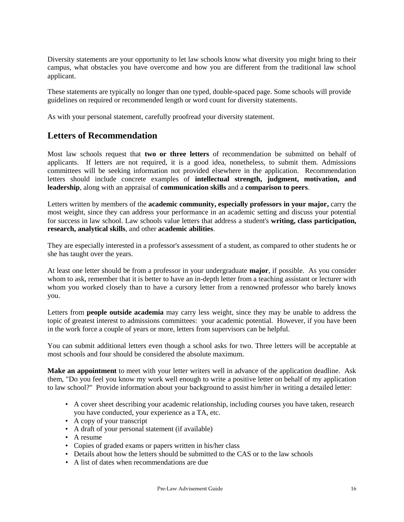Diversity statements are your opportunity to let law schools know what diversity you might bring to their campus, what obstacles you have overcome and how you are different from the traditional law school applicant.

These statements are typically no longer than one typed, double-spaced page. Some schools will provide guidelines on required or recommended length or word count for diversity statements.

As with your personal statement, carefully proofread your diversity statement.

#### **Letters of Recommendation**

Most law schools request that **two or three letters** of recommendation be submitted on behalf of applicants. If letters are not required, it is a good idea, nonetheless, to submit them. Admissions committees will be seeking information not provided elsewhere in the application. Recommendation letters should include concrete examples of **intellectual strength, judgment, motivation, and leadership**, along with an appraisal of **communication skills** and a **comparison to peers**.

Letters written by members of the **academic community, especially professors in your major,** carry the most weight, since they can address your performance in an academic setting and discuss your potential for success in law school. Law schools value letters that address a student's **writing, class participation, research, analytical skills**, and other **academic abilities**.

They are especially interested in a professor's assessment of a student, as compared to other students he or she has taught over the years.

At least one letter should be from a professor in your undergraduate **major**, if possible. As you consider whom to ask, remember that it is better to have an in-depth letter from a teaching assistant or lecturer with whom you worked closely than to have a cursory letter from a renowned professor who barely knows you.

Letters from **people outside academia** may carry less weight, since they may be unable to address the topic of greatest interest to admissions committees: your academic potential. However, if you have been in the work force a couple of years or more, letters from supervisors can be helpful.

You can submit additional letters even though a school asks for two. Three letters will be acceptable at most schools and four should be considered the absolute maximum.

**Make an appointment** to meet with your letter writers well in advance of the application deadline. Ask them, "Do you feel you know my work well enough to write a positive letter on behalf of my application to law school?" Provide information about your background to assist him/her in writing a detailed letter:

- A cover sheet describing your academic relationship, including courses you have taken, research you have conducted, your experience as a TA, etc.
- A copy of your transcript
- A draft of your personal statement (if available)
- A resume
- Copies of graded exams or papers written in his/her class
- Details about how the letters should be submitted to the CAS or to the law schools
- A list of dates when recommendations are due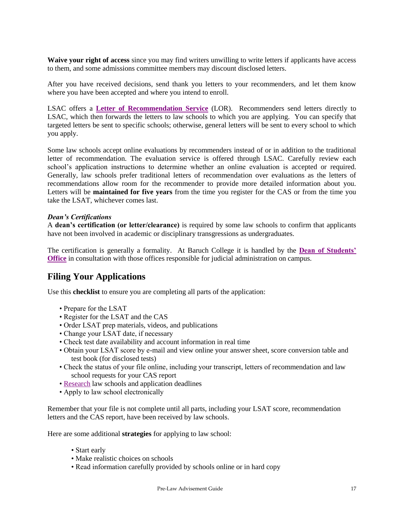**Waive your right of access** since you may find writers unwilling to write letters if applicants have access to them, and some admissions committee members may discount disclosed letters.

After you have received decisions, send thank you letters to your recommenders, and let them know where you have been accepted and where you intend to enroll.

LSAC offers a **[Letter of Recommendation Service](http://www.lsac.org/jd/applying-to-law-school/cas/lor-evaluations)** (LOR). Recommenders send letters directly to LSAC, which then forwards the letters to law schools to which you are applying. You can specify that targeted letters be sent to specific schools; otherwise, general letters will be sent to every school to which you apply.

Some law schools accept online evaluations by recommenders instead of or in addition to the traditional letter of recommendation. The evaluation service is offered through LSAC. Carefully review each school's application instructions to determine whether an online evaluation is accepted or required. Generally, law schools prefer traditional letters of recommendation over evaluations as the letters of recommendations allow room for the recommender to provide more detailed information about you. Letters will be **maintained for five years** from the time you register for the CAS or from the time you take the LSAT, whichever comes last.

#### *Dean's Certifications*

A **dean's certification (or letter/clearance)** is required by some law schools to confirm that applicants have not been involved in academic or disciplinary transgressions as undergraduates.

The certification is generally a formality. At Baruch College it is handled by the **[Dean of Students'](https://www.baruch.cuny.edu/studentaffairs/SA_dos.htm)  [Office](https://www.baruch.cuny.edu/studentaffairs/SA_dos.htm)** in consultation with those offices responsible for judicial administration on campus.

#### **Filing Your Applications**

Use this **checklist** to ensure you are completing all parts of the application:

- Prepare for the LSAT
- Register for the LSAT and the CAS
- Order LSAT prep materials, videos, and publications
- Change your LSAT date, if necessary
- Check test date availability and account information in real time
- Obtain your LSAT score by e-mail and view online your answer sheet, score conversion table and test book (for disclosed tests)
- Check the status of your file online, including your transcript, letters of recommendation and law school requests for your CAS report
- • [Research](https://officialguide.lsac.org/release/OfficialGuide_Default.aspx) law schools and application deadlines
- Apply to law school electronically

Remember that your file is not complete until all parts, including your LSAT score, recommendation letters and the CAS report, have been received by law schools.

Here are some additional **strategies** for applying to law school:

- Start early
- Make realistic choices on schools
- Read information carefully provided by schools online or in hard copy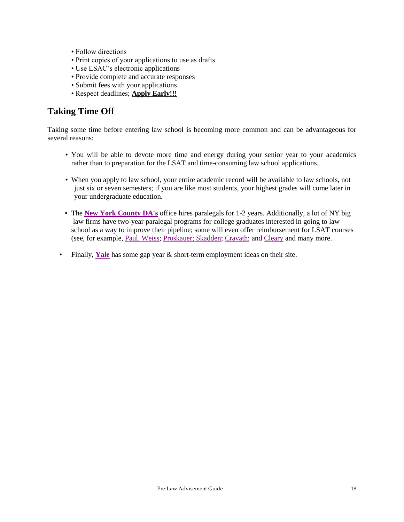- Follow directions
- Print copies of your applications to use as drafts
- Use LSAC's electronic applications
- Provide complete and accurate responses
- Submit fees with your applications
- Respect deadlines; **Apply Early!!!**

#### **Taking Time Off**

Taking some time before entering law school is becoming more common and can be advantageous for several reasons:

- You will be able to devote more time and energy during your senior year to your academics rather than to preparation for the LSAT and time-consuming law school applications.
- When you apply to law school, your entire academic record will be available to law schools, not just six or seven semesters; if you are like most students, your highest grades will come later in your undergraduate education.
- The **[New York County DA's](https://dany.applicantstack.com/x/openings)** office hires paralegals for 1-2 years. Additionally, a lot of NY big law firms have two-year paralegal programs for college graduates interested in going to law school as a way to improve their pipeline; some will even offer reimbursement for LSAT courses (see, for example, [Paul, Weiss;](https://www.paulweiss.com/careers/paralegals) [Proskauer;](http://www.proskauer.com/careers/paralegals) [Skadden;](http://www.proskauer.com/careers/paralegals) [Cravath;](https://www.cravath.com/staff/legalassistants/) and [Cleary](https://www.clearygottlieb.com/locations/new-york/legal-landing-page) and many more.
- Finally, **[Yale](https://ocs.yale.edu/get-hired/gap-year-short-term-positions)** has some gap year & short-term employment ideas on their site.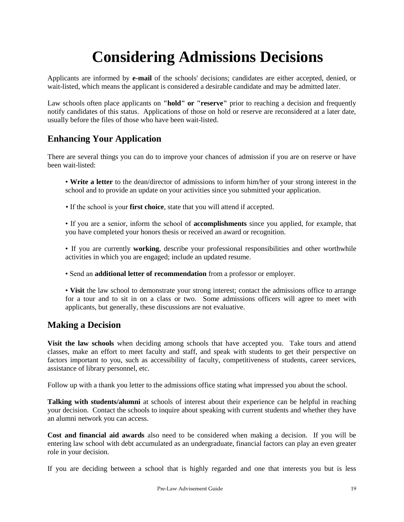## **Considering Admissions Decisions**

Applicants are informed by **e-mail** of the schools' decisions; candidates are either accepted, denied, or wait-listed, which means the applicant is considered a desirable candidate and may be admitted later.

Law schools often place applicants on **"hold" or "reserve"** prior to reaching a decision and frequently notify candidates of this status. Applications of those on hold or reserve are reconsidered at a later date, usually before the files of those who have been wait-listed.

### **Enhancing Your Application**

There are several things you can do to improve your chances of admission if you are on reserve or have been wait-listed:

• **Write a letter** to the dean/director of admissions to inform him/her of your strong interest in the school and to provide an update on your activities since you submitted your application.

• If the school is your **first choice**, state that you will attend if accepted.

• If you are a senior, inform the school of **accomplishments** since you applied, for example, that you have completed your honors thesis or received an award or recognition.

- If you are currently **working**, describe your professional responsibilities and other worthwhile activities in which you are engaged; include an updated resume.
- Send an **additional letter of recommendation** from a professor or employer.

• **Visit** the law school to demonstrate your strong interest; contact the admissions office to arrange for a tour and to sit in on a class or two. Some admissions officers will agree to meet with applicants, but generally, these discussions are not evaluative.

#### **Making a Decision**

**Visit the law schools** when deciding among schools that have accepted you. Take tours and attend classes, make an effort to meet faculty and staff, and speak with students to get their perspective on factors important to you, such as accessibility of faculty, competitiveness of students, career services, assistance of library personnel, etc.

Follow up with a thank you letter to the admissions office stating what impressed you about the school.

**Talking with students/alumni** at schools of interest about their experience can be helpful in reaching your decision. Contact the schools to inquire about speaking with current students and whether they have an alumni network you can access.

**Cost and financial aid awards** also need to be considered when making a decision. If you will be entering law school with debt accumulated as an undergraduate, financial factors can play an even greater role in your decision.

If you are deciding between a school that is highly regarded and one that interests you but is less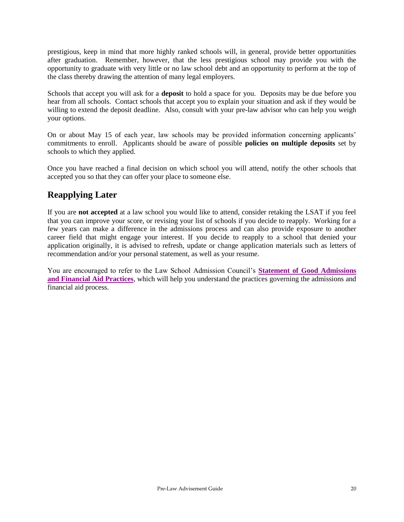prestigious, keep in mind that more highly ranked schools will, in general, provide better opportunities after graduation. Remember, however, that the less prestigious school may provide you with the opportunity to graduate with very little or no law school debt and an opportunity to perform at the top of the class thereby drawing the attention of many legal employers.

Schools that accept you will ask for a **deposit** to hold a space for you. Deposits may be due before you hear from all schools. Contact schools that accept you to explain your situation and ask if they would be willing to extend the deposit deadline. Also, consult with your pre-law advisor who can help you weigh your options.

On or about May 15 of each year, law schools may be provided information concerning applicants' commitments to enroll. Applicants should be aware of possible **policies on multiple deposits** set by schools to which they applied.

Once you have reached a final decision on which school you will attend, notify the other schools that accepted you so that they can offer your place to someone else.

### **Reapplying Later**

If you are **not accepted** at a law school you would like to attend, consider retaking the LSAT if you feel that you can improve your score, or revising your list of schools if you decide to reapply. Working for a few years can make a difference in the admissions process and can also provide exposure to another career field that might engage your interest. If you decide to reapply to a school that denied your application originally, it is advised to refresh, update or change application materials such as letters of recommendation and/or your personal statement, as well as your resume.

You are encouraged to refer to the Law School Admission Council's **[Statement of Good](http://www.lsac.org/docs/default-source/publications-(lsac-resources)/statementofgoodadm.pdf) Admissions [and Financial Aid Practices](http://www.lsac.org/docs/default-source/publications-(lsac-resources)/statementofgoodadm.pdf)**, which will help you understand the practices governing the admissions and financial aid process.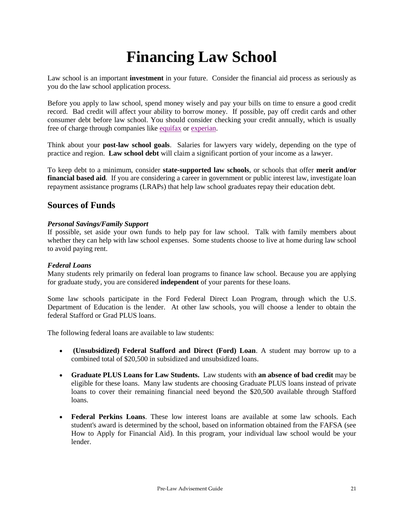## **Financing Law School**

Law school is an important **investment** in your future. Consider the financial aid process as seriously as you do the law school application process.

Before you apply to law school, spend money wisely and pay your bills on time to ensure a good credit record. Bad credit will affect your ability to borrow money. If possible, pay off credit cards and other consumer debt before law school. You should consider checking your credit annually, which is usually free of charge through companies like [equifax](https://www.equifax.com/personal/) or [experian.](https://www.experian.com/)

Think about your **post-law school goals**. Salaries for lawyers vary widely, depending on the type of practice and region. **Law school debt** will claim a significant portion of your income as a lawyer.

To keep debt to a minimum, consider **state-supported law schools**, or schools that offer **merit and/or financial based aid.** If you are considering a career in government or public interest law, investigate loan repayment assistance programs (LRAPs) that help law school graduates repay their education debt.

#### **Sources of Funds**

#### *Personal Savings/Family Support*

If possible, set aside your own funds to help pay for law school. Talk with family members about whether they can help with law school expenses. Some students choose to live at home during law school to avoid paying rent.

#### *Federal Loans*

Many students rely primarily on federal loan programs to finance law school. Because you are applying for graduate study, you are considered **independent** of your parents for these loans.

Some law schools participate in the Ford Federal Direct Loan Program, through which the U.S. Department of Education is the lender. At other law schools, you will choose a lender to obtain the federal Stafford or Grad PLUS loans.

The following federal loans are available to law students:

- **(Unsubsidized) Federal Stafford and Direct (Ford) Loan**. A student may borrow up to a combined total of \$20,500 in subsidized and unsubsidized loans.
- **Graduate PLUS Loans for Law Students.** Law students with **an absence of bad credit** may be eligible for these loans. Many law students are choosing Graduate PLUS loans instead of private loans to cover their remaining financial need beyond the \$20,500 available through Stafford loans.
- **Federal Perkins Loans**. These low interest loans are available at some law schools. Each student's award is determined by the school, based on information obtained from the FAFSA (see How to Apply for Financial Aid). In this program, your individual law school would be your lender.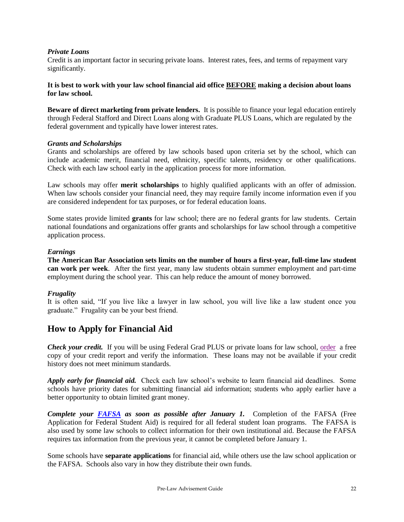#### *Private Loans*

Credit is an important factor in securing private loans. Interest rates, fees, and terms of repayment vary significantly.

#### **It is best to work with your law school financial aid office BEFORE making a decision about loans for law school.**

**Beware of direct marketing from private lenders.** It is possible to finance your legal education entirely through Federal Stafford and Direct Loans along with Graduate PLUS Loans, which are regulated by the federal government and typically have lower interest rates.

#### *Grants and Scholarships*

Grants and scholarships are offered by law schools based upon criteria set by the school, which can include academic merit, financial need, ethnicity, specific talents, residency or other qualifications. Check with each law school early in the application process for more information.

Law schools may offer **merit scholarships** to highly qualified applicants with an offer of admission. When law schools consider your financial need, they may require family income information even if you are considered independent for tax purposes, or for federal education loans.

Some states provide limited **grants** for law school; there are no federal grants for law students. Certain national foundations and organizations offer grants and scholarships for law school through a competitive application process.

#### *Earnings*

**The American Bar Association sets limits on the number of hours a first-year, full-time law student can work per week**. After the first year, many law students obtain summer employment and part-time employment during the school year. This can help reduce the amount of money borrowed.

#### *Frugality*

It is often said, "If you live like a lawyer in law school, you will live like a law student once you graduate." Frugality can be your best friend.

#### **How to Apply for Financial Aid**

*Check your credit.* If you will be using Federal Grad PLUS or private loans for law school, <u>order</u> a free copy of your credit report and verify the information. These loans may not be available if your credit history does not meet minimum standards.

*Apply early for financial aid.* Check each law school's website to learn financial aid deadlines. Some schools have priority dates for submitting financial aid information; students who apply earlier have a better opportunity to obtain limited grant money.

*Complete your [FAFSA](https://studentaid.gov/h/apply-for-aid/fafsa) as soon as possible after January 1.* Completion of the FAFSA (Free Application for Federal Student Aid) is required for all federal student loan programs. The FAFSA is also used by some law schools to collect information for their own institutional aid. Because the FAFSA requires tax information from the previous year, it cannot be completed before January 1.

Some schools have **separate applications** for financial aid, while others use the law school application or the FAFSA. Schools also vary in how they distribute their own funds.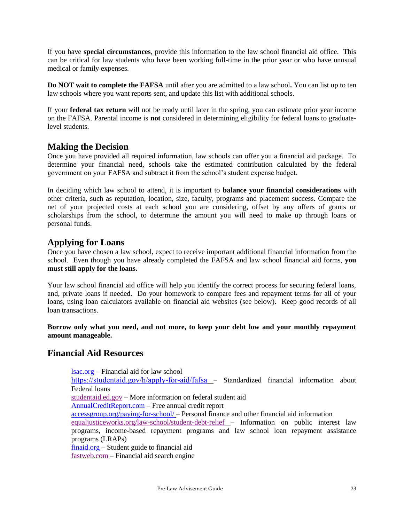If you have **special circumstances**, provide this information to the law school financial aid office. This can be critical for law students who have been working full-time in the prior year or who have unusual medical or family expenses.

**Do NOT wait to complete the FAFSA** until after you are admitted to a law school**.** You can list up to ten law schools where you want reports sent, and update this list with additional schools.

If your **federal tax return** will not be ready until later in the spring, you can estimate prior year income on the FAFSA. Parental income is **not** considered in determining eligibility for federal loans to graduatelevel students.

#### **Making the Decision**

Once you have provided all required information, law schools can offer you a financial aid package. To determine your financial need, schools take the estimated contribution calculated by the federal government on your FAFSA and subtract it from the school's student expense budget.

In deciding which law school to attend, it is important to **balance your financial considerations** with other criteria, such as reputation, location, size, faculty, programs and placement success. Compare the net of your projected costs at each school you are considering, offset by any offers of grants or scholarships from the school, to determine the amount you will need to make up through loans or personal funds.

#### **Applying for Loans**

Once you have chosen a law school, expect to receive important additional financial information from the school. Even though you have already completed the FAFSA and law school financial aid forms, **you must still apply for the loans.** 

Your law school financial aid office will help you identify the correct process for securing federal loans, and, private loans if needed. Do your homework to compare fees and repayment terms for all of your loans, using loan calculators available on financial aid websites (see below).Keep good records of all loan transactions.

**Borrow only what you need, and not more, to keep your debt low and your monthly repayment amount manageable.**

#### **Financial Aid Resources**

[lsac.org](http://www.lsac.org/) – Financial aid for law school <https://studentaid.gov/h/apply-for-aid/fafsa> – Standardized financial information about Federal loans [studentaid.ed.gov](http://studentaid.ed.gov/) – More information on federal student aid [AnnualCreditReport.com](http://www.annualcreditreport.com/) – Free annual credit report [accessgroup.org/paying-for-school/](http://www.accessgroup.org/paying-for-school/) – Personal finance and other financial aid information [equaljusticeworks.org/law-school/student-debt-relief](https://www.equaljusticeworks.org/law-students/student-debt-resources/) – Information on public interest law programs, income-based repayment programs and law school loan repayment assistance

programs (LRAPs) [finaid.org](http://www.finaid.org/) – Student guide to financial aid

[fastweb.com](http://www.fastweb.com/) – Financial aid search engine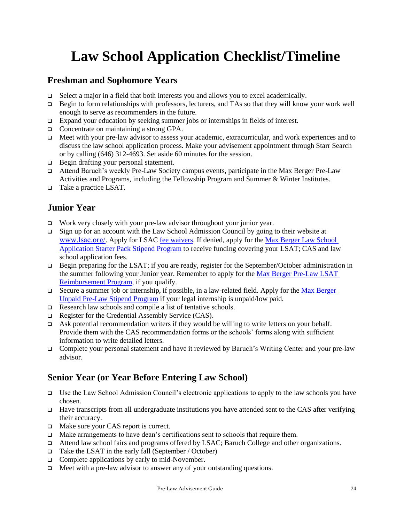## **Law School Application Checklist/Timeline**

#### **Freshman and Sophomore Years**

- $\Box$  Select a major in a field that both interests you and allows you to excel academically.
- $\Box$  Begin to form relationships with professors, lecturers, and TAs so that they will know your work well enough to serve as recommenders in the future.
- Expand your education by seeking summer jobs or internships in fields of interest.
- □ Concentrate on maintaining a strong GPA.
- Meet with your pre-law advisor to assess your academic, extracurricular, and work experiences and to discuss the law school application process. Make your advisement appointment through Starr Search or by calling (646) 312-4693. Set aside 60 minutes for the session.
- □ Begin drafting your personal statement.
- Attend Baruch's weekly Pre-Law Society campus events, participate in the Max Berger Pre-Law Activities and Programs, including the Fellowship Program and Summer & Winter Institutes.
- □ Take a practice LSAT.

### **Junior Year**

- □ Work very closely with your pre-law advisor throughout your junior year.
- Sign up for an account with the Law School Admission Council by going to their website at [www.lsac.org/](http://www.lsac.org/). Apply for LSAC [fee waivers.](https://www.lsac.org/lsat/lsat-dates-deadlines-score-release-dates/lsat-cas-fees/fee-waivers-lsat-credential-assembly) If denied, apply for the [Max Berger Law School](https://baruch.az1.qualtrics.com/jfe/form/SV_b7qrhRJSYFoV2TA)  Application Starter Pack [Stipend Program](https://baruch.az1.qualtrics.com/jfe/form/SV_b7qrhRJSYFoV2TA) to receive funding covering your LSAT; CAS and law school application fees.
- Begin preparing for the LSAT; if you are ready, register for the September/October administration in the summer following your Junior year. Remember to apply for the [Max Berger Pre-Law](https://studentaffairs.baruch.cuny.edu/wp-content/uploads/sites/6/2020/01/LSAT-Reimbursement-Form.pdf) LSAT [Reimbursement Program,](https://studentaffairs.baruch.cuny.edu/wp-content/uploads/sites/6/2020/01/LSAT-Reimbursement-Form.pdf) if you qualify.
- Secure a summer job or internship, if possible, in a law-related field. Apply for the Max Berger Unpaid Pre-Law [Stipend Program](https://studentaffairs.baruch.cuny.edu/wp-content/uploads/sites/6/2021/09/Internship-Stipend-Form.pdf) if your legal internship is unpaid/low paid.
- Research law schools and compile a list of tentative schools.
- Register for the Credential Assembly Service (CAS).
- Ask potential recommendation writers if they would be willing to write letters on your behalf. Provide them with the CAS recommendation forms or the schools' forms along with sufficient information to write detailed letters.
- Complete your personal statement and have it reviewed by Baruch's Writing Center and your pre-law advisor.

### **Senior Year (or Year Before Entering Law School)**

- Use the Law School Admission Council's electronic applications to apply to the law schools you have chosen.
- $\Box$  Have transcripts from all undergraduate institutions you have attended sent to the CAS after verifying their accuracy.
- □ Make sure your CAS report is correct.
- Make arrangements to have dean's certifications sent to schools that require them.
- Attend law school fairs and programs offered by LSAC; Baruch College and other organizations.
- $\Box$  Take the LSAT in the early fall (September / October)
- $\Box$  Complete applications by early to mid-November.
- □ Meet with a pre-law advisor to answer any of your outstanding questions.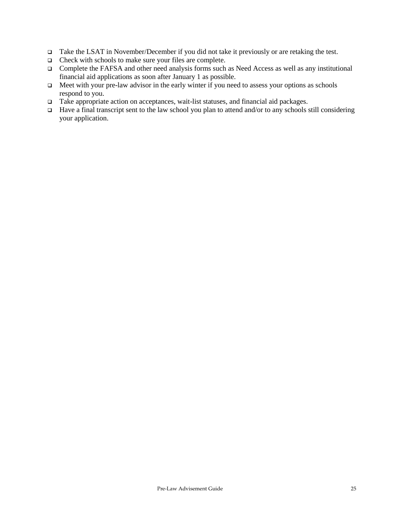- □ Take the LSAT in November/December if you did not take it previously or are retaking the test.
- □ Check with schools to make sure your files are complete.
- Complete the FAFSA and other need analysis forms such as Need Access as well as any institutional financial aid applications as soon after January 1 as possible.
- $\Box$  Meet with your pre-law advisor in the early winter if you need to assess your options as schools respond to you.
- Take appropriate action on acceptances, wait-list statuses, and financial aid packages.
- $\Box$  Have a final transcript sent to the law school you plan to attend and/or to any schools still considering your application.